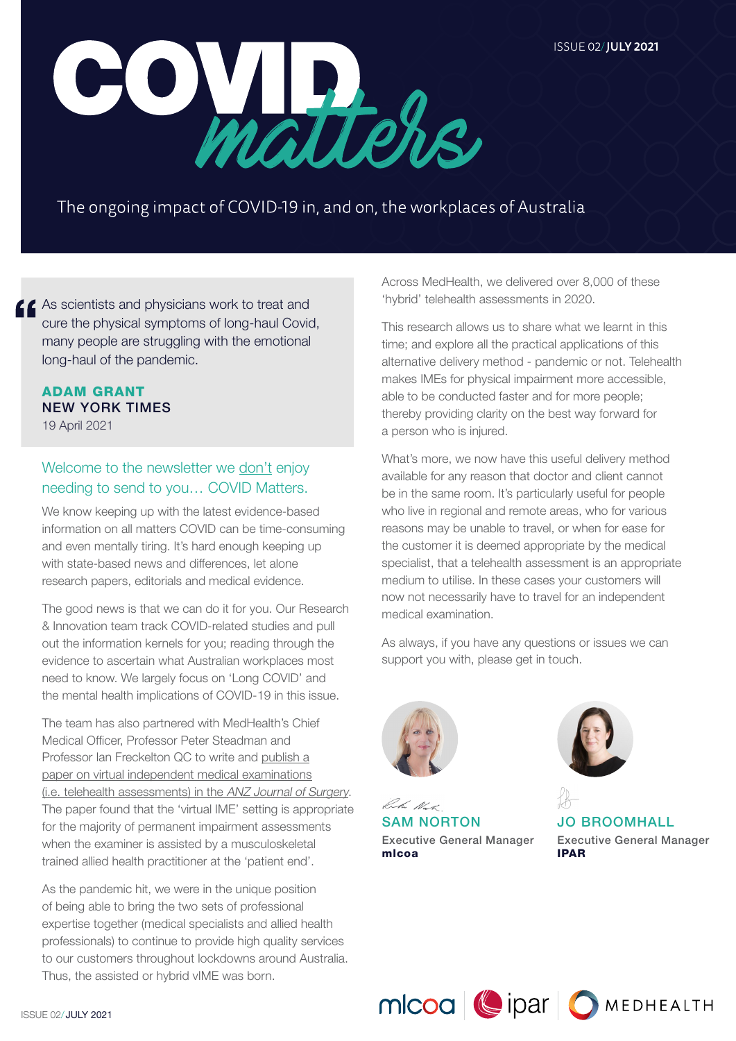**ISSUE 02/JULY 2021** 



The ongoing impact of COVID-19 in, and on, the workplaces of Australia

**LC** As scientists and physicians work to treat and cure the physical symptoms of long-haul Covid, many people are struggling with the emotional long-haul of the pandemic.

# ADAM GRANT NEW YORK TIMES 19 April 2021

# Welcome to the newsletter we don't enjoy needing to send to you… COVID Matters.

We know keeping up with the latest evidence-based information on all matters COVID can be time-consuming and even mentally tiring. It's hard enough keeping up with state-based news and differences, let alone research papers, editorials and medical evidence.

The good news is that we can do it for you. Our Research & Innovation team track COVID-related studies and pull out the information kernels for you; reading through the evidence to ascertain what Australian workplaces most need to know. We largely focus on 'Long COVID' and the mental health implications of COVID-19 in this issue.

The team has also partnered with MedHealth's Chief Medical Officer, Professor Peter Steadman and Professor Ian Freckelton QC to write and [publish a](https://www.medhealth.com.au/solutions/telehealth-services/published-telehealth-ime-research/) [paper on virtual independent medical examinations](https://www.medhealth.com.au/solutions/telehealth-services/published-telehealth-ime-research/) [\(i.e. telehealth assessments\) in the](https://www.medhealth.com.au/solutions/telehealth-services/published-telehealth-ime-research/) ANZ Journal of Surgery. The paper found that the 'virtual IME' setting is appropriate for the majority of permanent impairment assessments when the examiner is assisted by a musculoskeletal trained allied health practitioner at the 'patient end'.

As the pandemic hit, we were in the unique position of being able to bring the two sets of professional expertise together (medical specialists and allied health professionals) to continue to provide high quality services to our customers throughout lockdowns around Australia. Thus, the assisted or hybrid vIME was born.

Across MedHealth, we delivered over 8,000 of these 'hybrid' telehealth assessments in 2020.

This research allows us to share what we learnt in this time; and explore all the practical applications of this alternative delivery method - pandemic or not. Telehealth makes IMEs for physical impairment more accessible, able to be conducted faster and for more people; thereby providing clarity on the best way forward for a person who is injured.

What's more, we now have this useful delivery method available for any reason that doctor and client cannot be in the same room. It's particularly useful for people who live in regional and remote areas, who for various reasons may be unable to travel, or when for ease for the customer it is deemed appropriate by the medical specialist, that a telehealth assessment is an appropriate medium to utilise. In these cases your customers will now not necessarily have to travel for an independent medical examination.

As always, if you have any questions or issues we can support you with, please get in touch.



Rh Nat SAM NORTON Executive General Manager mlcoa



JO BROOMHALL Executive General Manager IPAR

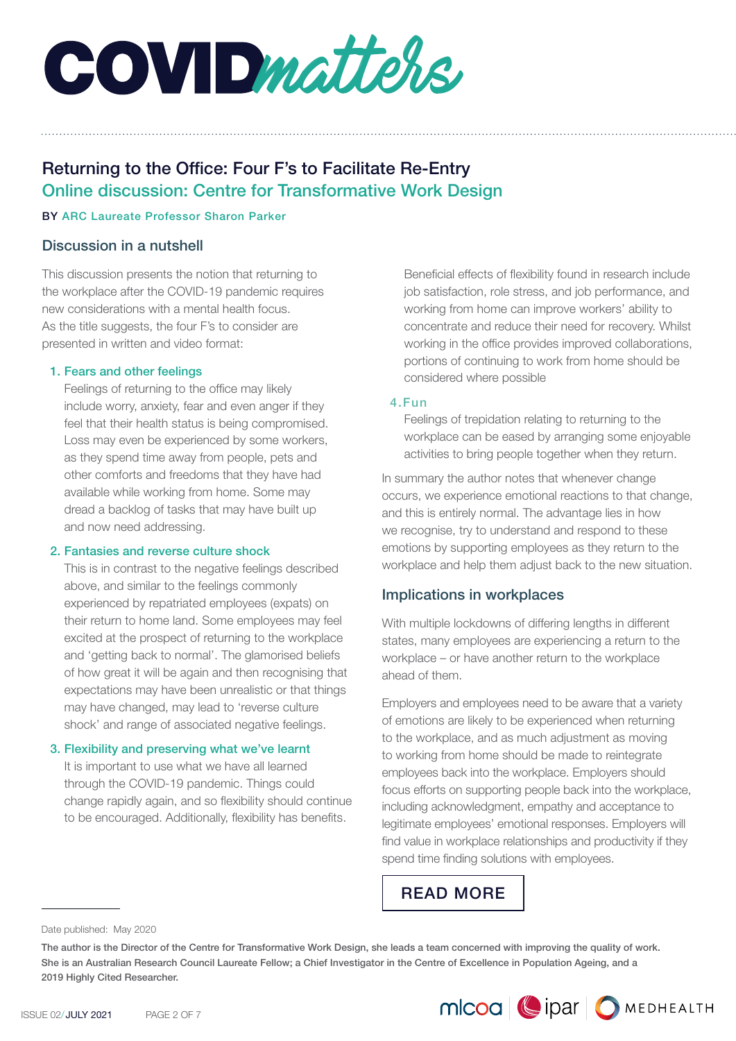**COVID** matters

# Returning to the Office: Four F's to Facilitate Re-Entry Online discussion: Centre for Transformative Work Design

#### BY ARC Laureate Professor Sharon Parker

## Discussion in a nutshell

This discussion presents the notion that returning to the workplace after the COVID-19 pandemic requires new considerations with a mental health focus. As the title suggests, the four F's to consider are presented in written and video format:

#### 1. Fears and other feelings

Feelings of returning to the office may likely include worry, anxiety, fear and even anger if they feel that their health status is being compromised. Loss may even be experienced by some workers, as they spend time away from people, pets and other comforts and freedoms that they have had available while working from home. Some may dread a backlog of tasks that may have built up and now need addressing.

#### 2. Fantasies and reverse culture shock

This is in contrast to the negative feelings described above, and similar to the feelings commonly experienced by repatriated employees (expats) on their return to home land. Some employees may feel excited at the prospect of returning to the workplace and 'getting back to normal'. The glamorised beliefs of how great it will be again and then recognising that expectations may have been unrealistic or that things may have changed, may lead to 'reverse culture shock' and range of associated negative feelings.

#### 3. Flexibility and preserving what we've learnt

It is important to use what we have all learned through the COVID-19 pandemic. Things could change rapidly again, and so flexibility should continue to be encouraged. Additionally, flexibility has benefits.

Beneficial effects of flexibility found in research include job satisfaction, role stress, and job performance, and working from home can improve workers' ability to concentrate and reduce their need for recovery. Whilst working in the office provides improved collaborations, portions of continuing to work from home should be considered where possible

#### 4.Fun

Feelings of trepidation relating to returning to the workplace can be eased by arranging some enjoyable activities to bring people together when they return.

In summary the author notes that whenever change occurs, we experience emotional reactions to that change, and this is entirely normal. The advantage lies in how we recognise, try to understand and respond to these emotions by supporting employees as they return to the workplace and help them adjust back to the new situation.

# Implications in workplaces

With multiple lockdowns of differing lengths in different states, many employees are experiencing a return to the workplace – or have another return to the workplace ahead of them.

Employers and employees need to be aware that a variety of emotions are likely to be experienced when returning to the workplace, and as much adjustment as moving to working from home should be made to reintegrate employees back into the workplace. Employers should focus efforts on supporting people back into the workplace, including acknowledgment, empathy and acceptance to legitimate employees' emotional responses. Employers will find value in workplace relationships and productivity if they spend time finding solutions with employees.

MICOO | | ipar | O MEDHEALTH

[READ MORE](https://www.mlcoa.com.au/2021/07/23/returning-to-the-office-four-fs-to-facilitate-re-entry/)

Date published: May 2020

The author is the Director of the Centre for Transformative Work Design, she leads a team concerned with improving the quality of work. She is an Australian Research Council Laureate Fellow; a Chief Investigator in the Centre of Excellence in Population Ageing, and a 2019 Highly Cited Researcher.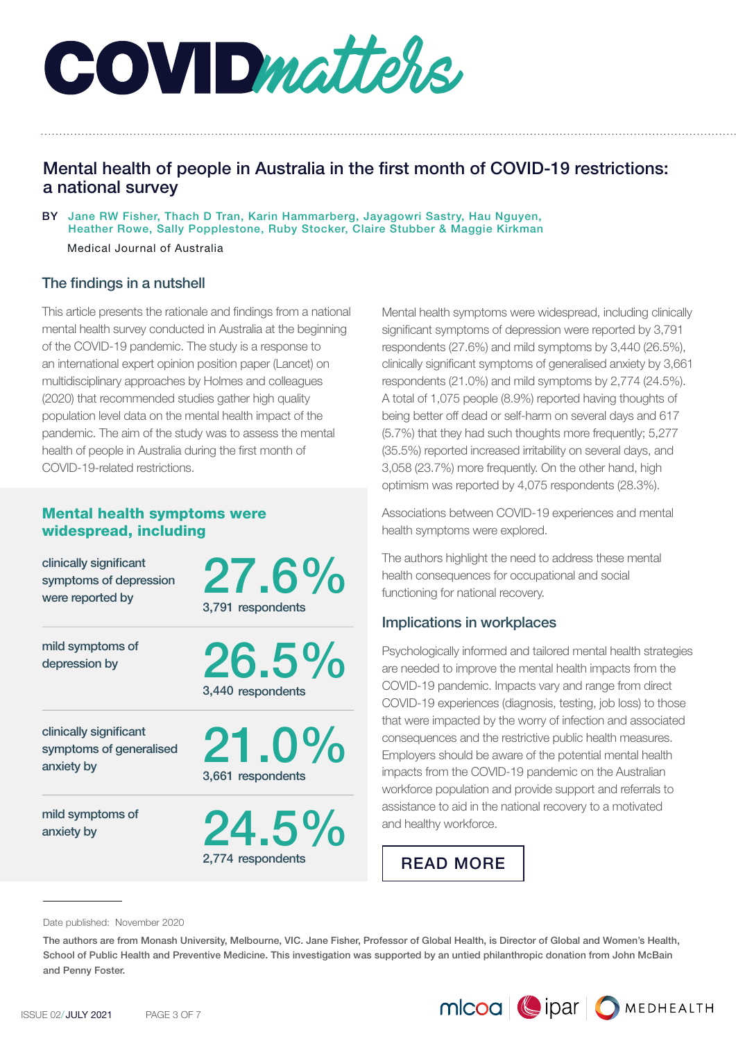

# Mental health of people in Australia in the first month of COVID-19 restrictions: a national survey

BY Jane RW Fisher, Thach D Tran, Karin Hammarberg, Jayagowri Sastry, Hau Nguyen, Heather Rowe, Sally Popplestone, Ruby Stocker, Claire Stubber & Maggie Kirkman

Medical Journal of Australia

# The findings in a nutshell

This article presents the rationale and findings from a national mental health survey conducted in Australia at the beginning of the COVID-19 pandemic. The study is a response to an international expert opinion position paper (Lancet) on multidisciplinary approaches by Holmes and colleagues (2020) that recommended studies gather high quality population level data on the mental health impact of the pandemic. The aim of the study was to assess the mental health of people in Australia during the first month of COVID-19-related restrictions.

# Mental health symptoms were widespread, including

clinically significant symptoms of depression were reported by

27.6% 3,791 respondents

26.5%

3,440 respondents

mild symptoms of depression by

clinically significant symptoms of generalised anxiety by

mild symptoms of anxiety by

21.0% 3,661 respondents

 $24.5\%$ 2,774 respondents

Mental health symptoms were widespread, including clinically significant symptoms of depression were reported by 3,791 respondents (27.6%) and mild symptoms by 3,440 (26.5%), clinically significant symptoms of generalised anxiety by 3,661 respondents (21.0%) and mild symptoms by 2,774 (24.5%). A total of 1,075 people (8.9%) reported having thoughts of being better off dead or self-harm on several days and 617 (5.7%) that they had such thoughts more frequently; 5,277 (35.5%) reported increased irritability on several days, and 3,058 (23.7%) more frequently. On the other hand, high optimism was reported by 4,075 respondents (28.3%).

Associations between COVID-19 experiences and mental health symptoms were explored.

The authors highlight the need to address these mental health consequences for occupational and social functioning for national recovery.

#### Implications in workplaces

Psychologically informed and tailored mental health strategies are needed to improve the mental health impacts from the COVID-19 pandemic. Impacts vary and range from direct COVID-19 experiences (diagnosis, testing, job loss) to those that were impacted by the worry of infection and associated consequences and the restrictive public health measures. Employers should be aware of the potential mental health impacts from the COVID-19 pandemic on the Australian workforce population and provide support and referrals to assistance to aid in the national recovery to a motivated and healthy workforce.

[READ MORE](https://www.mlcoa.com.au/2021/07/23/mental-health-of-people-in-australia-in-the-first-month-of-covid-19-restrictions-a-national-survey/)

Date published: November 2020

The authors are from Monash University, Melbourne, VIC. Jane Fisher, Professor of Global Health, is Director of Global and Women's Health, School of Public Health and Preventive Medicine. This investigation was supported by an untied philanthropic donation from John McBain and Penny Foster.

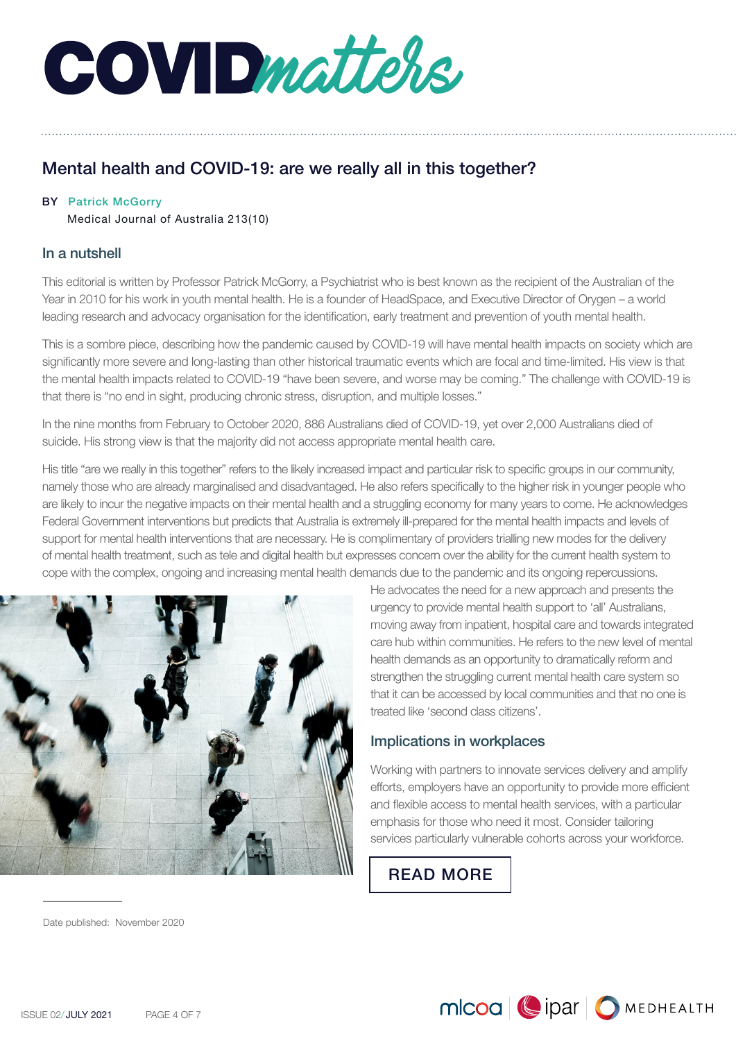

# Mental health and COVID-19: are we really all in this together?

#### BY Patrick McGorry

Medical Journal of Australia 213(10)

## In a nutshell

This editorial is written by Professor Patrick McGorry, a Psychiatrist who is best known as the recipient of the Australian of the Year in 2010 for his work in youth mental health. He is a founder of HeadSpace, and Executive Director of Orygen – a world leading research and advocacy organisation for the identification, early treatment and prevention of youth mental health.

This is a sombre piece, describing how the pandemic caused by COVID-19 will have mental health impacts on society which are significantly more severe and long-lasting than other historical traumatic events which are focal and time-limited. His view is that the mental health impacts related to COVID-19 "have been severe, and worse may be coming." The challenge with COVID-19 is that there is "no end in sight, producing chronic stress, disruption, and multiple losses."

In the nine months from February to October 2020, 886 Australians died of COVID-19, yet over 2,000 Australians died of suicide. His strong view is that the majority did not access appropriate mental health care.

His title "are we really in this together" refers to the likely increased impact and particular risk to specific groups in our community, namely those who are already marginalised and disadvantaged. He also refers specifically to the higher risk in younger people who are likely to incur the negative impacts on their mental health and a struggling economy for many years to come. He acknowledges Federal Government interventions but predicts that Australia is extremely ill-prepared for the mental health impacts and levels of support for mental health interventions that are necessary. He is complimentary of providers trialling new modes for the delivery of mental health treatment, such as tele and digital health but expresses concern over the ability for the current health system to cope with the complex, ongoing and increasing mental health demands due to the pandemic and its ongoing repercussions.



He advocates the need for a new approach and presents the urgency to provide mental health support to 'all' Australians, moving away from inpatient, hospital care and towards integrated care hub within communities. He refers to the new level of mental health demands as an opportunity to dramatically reform and strengthen the struggling current mental health care system so that it can be accessed by local communities and that no one is treated like 'second class citizens'.

# Implications in workplaces

Working with partners to innovate services delivery and amplify efforts, employers have an opportunity to provide more efficient and flexible access to mental health services, with a particular emphasis for those who need it most. Consider tailoring services particularly vulnerable cohorts across your workforce.

MICOO | | DIPAT | O MEDHEALTH

[READ MORE](https://www.mlcoa.com.au/2021/07/23/mental-health-and-covid-19-are-we-really-all-in-this-together/)

Date published: November 2020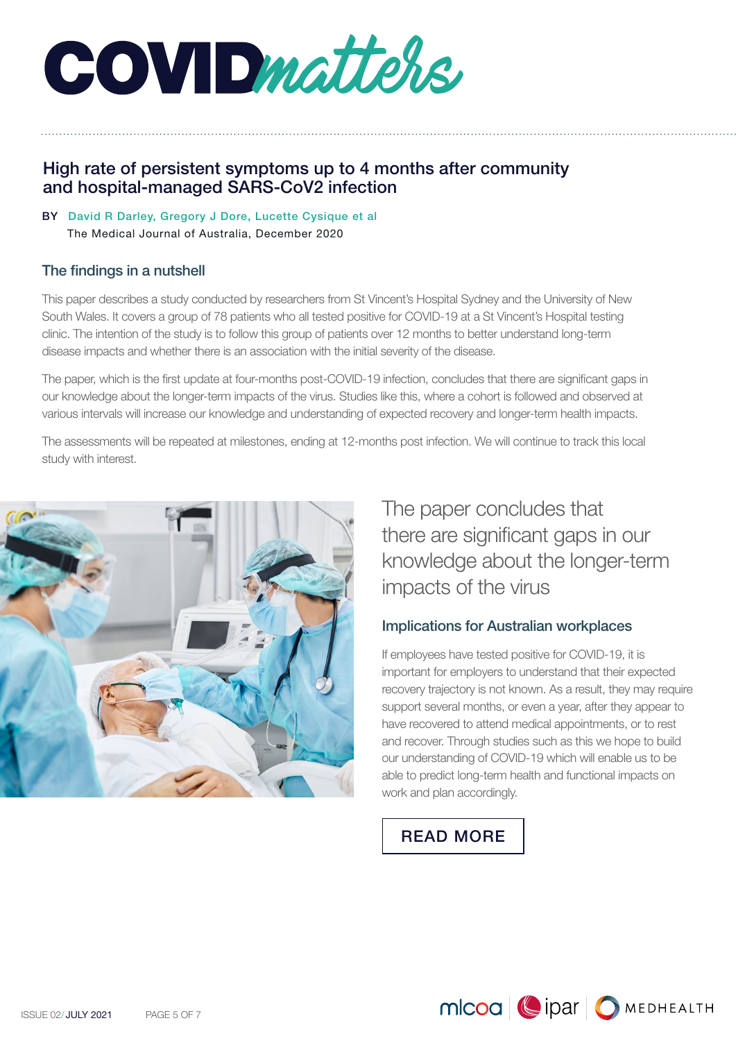COVIDmatters,

# High rate of persistent symptoms up to 4 months after community and hospital-managed SARS-CoV2 infection

BY David R Darley, Gregory J Dore, Lucette Cysique et al The Medical Journal of Australia, December 2020

# The findings in a nutshell

This paper describes a study conducted by researchers from St Vincent's Hospital Sydney and the University of New South Wales. It covers a group of 78 patients who all tested positive for COVID-19 at a St Vincent's Hospital testing clinic. The intention of the study is to follow this group of patients over 12 months to better understand long-term disease impacts and whether there is an association with the initial severity of the disease.

The paper, which is the first update at four-months post-COVID-19 infection, concludes that there are significant gaps in our knowledge about the longer-term impacts of the virus. Studies like this, where a cohort is followed and observed at various intervals will increase our knowledge and understanding of expected recovery and longer-term health impacts.

The assessments will be repeated at milestones, ending at 12-months post infection. We will continue to track this local study with interest.



The paper concludes that there are significant gaps in our knowledge about the longer-term impacts of the virus

# Implications for Australian workplaces

If employees have tested positive for COVID-19, it is important for employers to understand that their expected recovery trajectory is not known. As a result, they may require support several months, or even a year, after they appear to have recovered to attend medical appointments, or to rest and recover. Through studies such as this we hope to build our understanding of COVID-19 which will enable us to be able to predict long-term health and functional impacts on work and plan accordingly.

# [READ MORE](https://www.mlcoa.com.au/2021/07/23/high-rate-of-persistent-symptoms-after-sars-cov2-infection/)

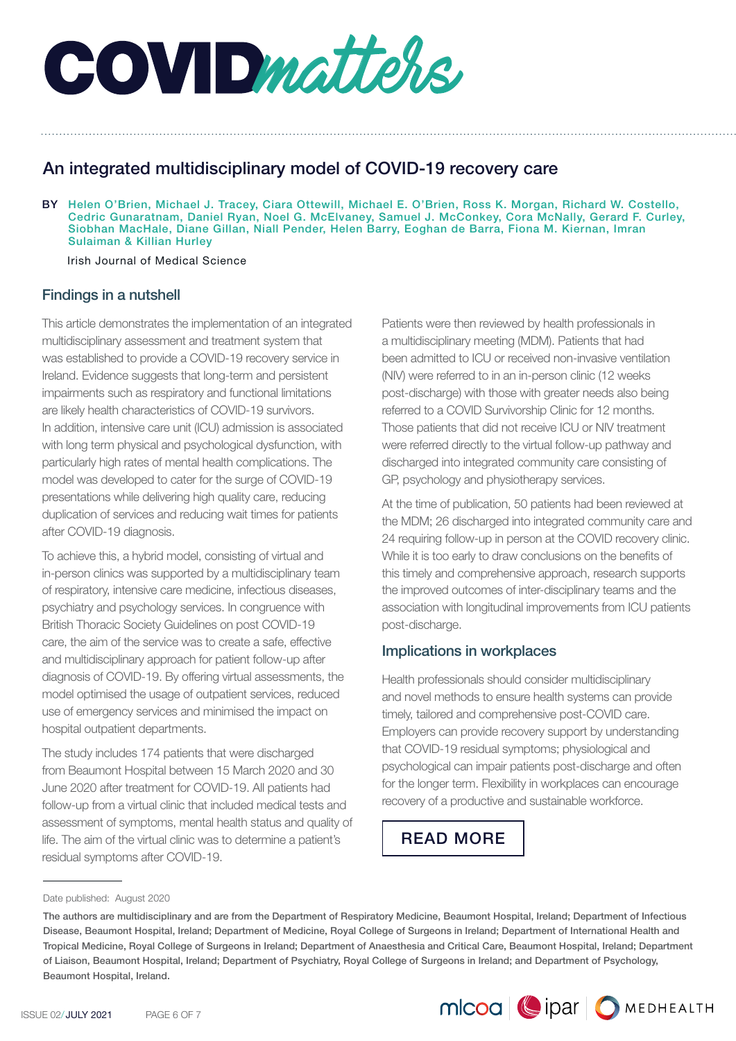

# An integrated multidisciplinary model of COVID-19 recovery care

BY Helen O'Brien, Michael J. Tracey, Ciara Ottewill, Michael E. O'Brien, Ross K. Morgan, Richard W. Costello, Cedric Gunaratnam, Daniel Ryan, Noel G. McElvaney, Samuel J. McConkey, Cora McNally, Gerard F. Curley, Siobhan MacHale, Diane Gillan, Niall Pender, Helen Barry, Eoghan de Barra, Fiona M. Kiernan, Imran Sulaiman & Killian Hurley

Irish Journal of Medical Science

# Findings in a nutshell

This article demonstrates the implementation of an integrated multidisciplinary assessment and treatment system that was established to provide a COVID-19 recovery service in Ireland. Evidence suggests that long-term and persistent impairments such as respiratory and functional limitations are likely health characteristics of COVID-19 survivors. In addition, intensive care unit (ICU) admission is associated with long term physical and psychological dysfunction, with particularly high rates of mental health complications. The model was developed to cater for the surge of COVID-19 presentations while delivering high quality care, reducing duplication of services and reducing wait times for patients after COVID-19 diagnosis.

To achieve this, a hybrid model, consisting of virtual and in-person clinics was supported by a multidisciplinary team of respiratory, intensive care medicine, infectious diseases, psychiatry and psychology services. In congruence with British Thoracic Society Guidelines on post COVID-19 care, the aim of the service was to create a safe, effective and multidisciplinary approach for patient follow-up after diagnosis of COVID-19. By offering virtual assessments, the model optimised the usage of outpatient services, reduced use of emergency services and minimised the impact on hospital outpatient departments.

The study includes 174 patients that were discharged from Beaumont Hospital between 15 March 2020 and 30 June 2020 after treatment for COVID-19. All patients had follow-up from a virtual clinic that included medical tests and assessment of symptoms, mental health status and quality of life. The aim of the virtual clinic was to determine a patient's residual symptoms after COVID-19.

Patients were then reviewed by health professionals in a multidisciplinary meeting (MDM). Patients that had been admitted to ICU or received non-invasive ventilation (NIV) were referred to in an in-person clinic (12 weeks post-discharge) with those with greater needs also being referred to a COVID Survivorship Clinic for 12 months. Those patients that did not receive ICU or NIV treatment were referred directly to the virtual follow-up pathway and discharged into integrated community care consisting of GP, psychology and physiotherapy services.

At the time of publication, 50 patients had been reviewed at the MDM; 26 discharged into integrated community care and 24 requiring follow-up in person at the COVID recovery clinic. While it is too early to draw conclusions on the benefits of this timely and comprehensive approach, research supports the improved outcomes of inter-disciplinary teams and the association with longitudinal improvements from ICU patients post-discharge.

# Implications in workplaces

Health professionals should consider multidisciplinary and novel methods to ensure health systems can provide timely, tailored and comprehensive post-COVID care. Employers can provide recovery support by understanding that COVID-19 residual symptoms; physiological and psychological can impair patients post-discharge and often for the longer term. Flexibility in workplaces can encourage recovery of a productive and sustainable workforce.

MICOO Cipar OMEDHEALTH

# [READ MORE](https://www.mlcoa.com.au/2021/07/23/an-integrated-multidisciplinary-model-of-covid-19-recovery-care/)

Date published: August 2020

The authors are multidisciplinary and are from the Department of Respiratory Medicine, Beaumont Hospital, Ireland; Department of Infectious Disease, Beaumont Hospital, Ireland; Department of Medicine, Royal College of Surgeons in Ireland; Department of International Health and Tropical Medicine, Royal College of Surgeons in Ireland; Department of Anaesthesia and Critical Care, Beaumont Hospital, Ireland; Department of Liaison, Beaumont Hospital, Ireland; Department of Psychiatry, Royal College of Surgeons in Ireland; and Department of Psychology, Beaumont Hospital, Ireland.